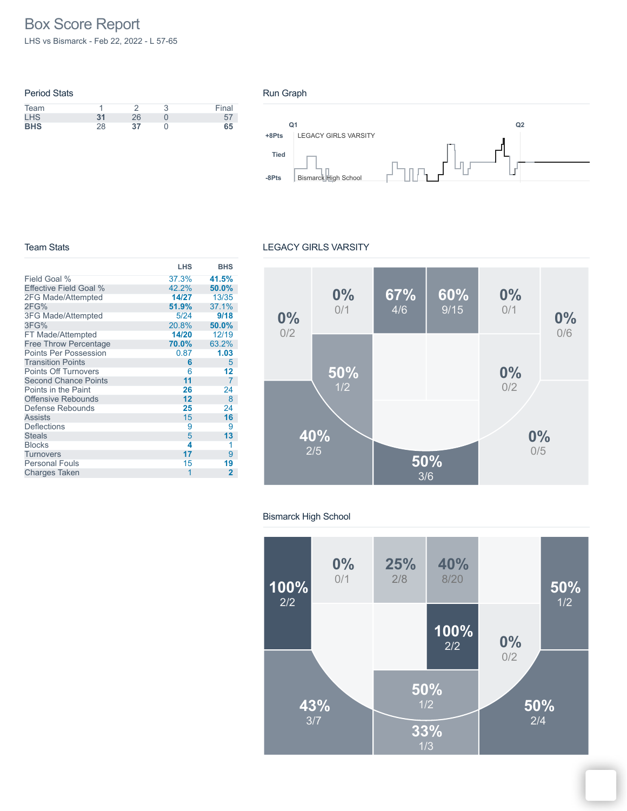# Box Score Report

LHS vs Bismarck - Feb 22, 2022 - L 57-65

### Period Stats Team 1 2 3 Final LHS **31** 26 0 57 **BHS** 28 **37** 0 **65**





#### Team Stats

#### LEGACY GIRLS VARSITY

|                              | <b>LHS</b> | <b>BHS</b>     |
|------------------------------|------------|----------------|
| Field Goal %                 | 37.3%      | 41.5%          |
| Effective Field Goal %       | 42.2%      | 50.0%          |
| 2FG Made/Attempted           | 14/27      | 13/35          |
| 2FG%                         | 51.9%      | 37.1%          |
| <b>3FG Made/Attempted</b>    | 5/24       | 9/18           |
| 3FG%                         | 20.8%      | 50.0%          |
| FT Made/Attempted            | 14/20      | 12/19          |
| <b>Free Throw Percentage</b> | 70.0%      | 63.2%          |
| <b>Points Per Possession</b> | 0.87       | 1.03           |
| <b>Transition Points</b>     | 6          | 5              |
| <b>Points Off Turnovers</b>  | 6          | 12             |
| <b>Second Chance Points</b>  | 11         | $\overline{7}$ |
| Points in the Paint          | 26         | 24             |
| Offensive Rebounds           | 12         | 8              |
| Defense Rebounds             | 25         | 24             |
| <b>Assists</b>               | 15         | 16             |
| Deflections                  | 9          | 9              |
| <b>Steals</b>                | 5          | 13             |
| <b>Blocks</b>                | 4          | 1              |
| <b>Turnovers</b>             | 17         | 9              |
| <b>Personal Fouls</b>        | 15         | 19             |
| <b>Charges Taken</b>         | 1          | 2              |



#### Bismarck High School